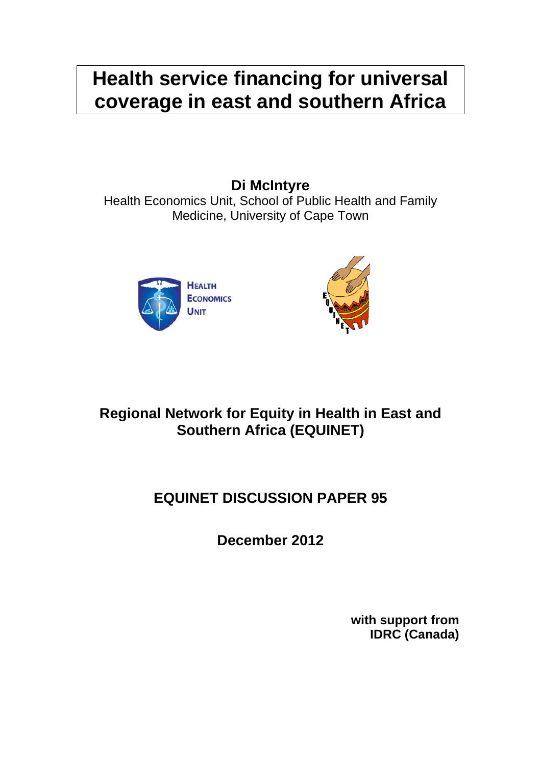# **Health service financing for universal coverage in east and southern Africa**

**Di McIntyre** 

Health Economics Unit, School of Public Health and Family Medicine, University of Cape Town





# **Regional Network for Equity in Health in East and Southern Africa (EQUINET)**

# **EQUINET DISCUSSION PAPER 95**

**December 2012** 

**with support from IDRC (Canada)**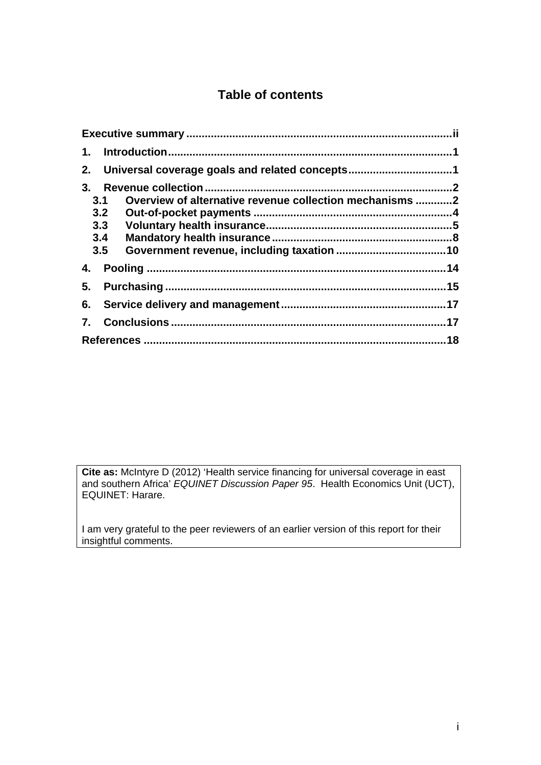# **Table of contents**

| 1.  |                                                         |  |  |
|-----|---------------------------------------------------------|--|--|
| 2.  | Universal coverage goals and related concepts1          |  |  |
| 3.  |                                                         |  |  |
| 3.1 | Overview of alternative revenue collection mechanisms 2 |  |  |
|     | 3.2                                                     |  |  |
|     | 3.3                                                     |  |  |
| 3.4 |                                                         |  |  |
| 3.5 |                                                         |  |  |
|     |                                                         |  |  |
| 5.  |                                                         |  |  |
| 6.  |                                                         |  |  |
| 7.  |                                                         |  |  |
|     |                                                         |  |  |

**Cite as:** McIntyre D (2012) 'Health service financing for universal coverage in east and southern Africa' *EQUINET Discussion Paper 95*. Health Economics Unit (UCT), EQUINET: Harare.

I am very grateful to the peer reviewers of an earlier version of this report for their insightful comments.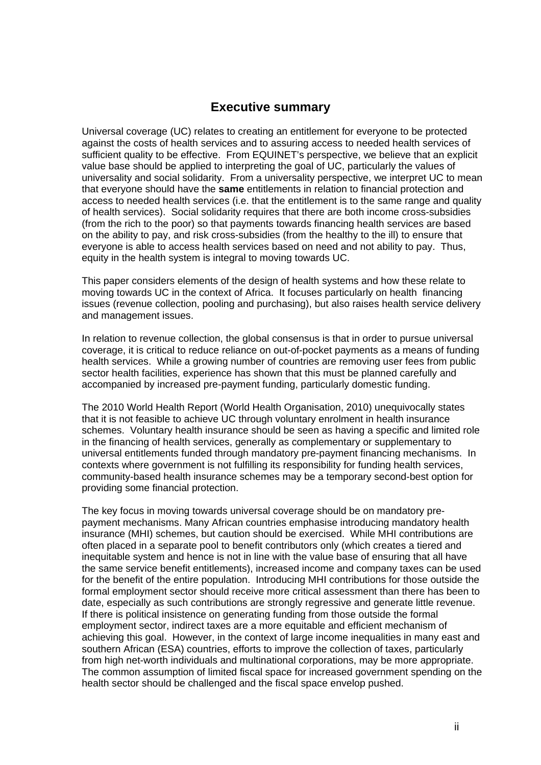#### **Executive summary**

Universal coverage (UC) relates to creating an entitlement for everyone to be protected against the costs of health services and to assuring access to needed health services of sufficient quality to be effective. From EQUINET's perspective, we believe that an explicit value base should be applied to interpreting the goal of UC, particularly the values of universality and social solidarity. From a universality perspective, we interpret UC to mean that everyone should have the **same** entitlements in relation to financial protection and access to needed health services (i.e. that the entitlement is to the same range and quality of health services). Social solidarity requires that there are both income cross-subsidies (from the rich to the poor) so that payments towards financing health services are based on the ability to pay, and risk cross-subsidies (from the healthy to the ill) to ensure that everyone is able to access health services based on need and not ability to pay. Thus, equity in the health system is integral to moving towards UC.

This paper considers elements of the design of health systems and how these relate to moving towards UC in the context of Africa. It focuses particularly on health financing issues (revenue collection, pooling and purchasing), but also raises health service delivery and management issues.

In relation to revenue collection, the global consensus is that in order to pursue universal coverage, it is critical to reduce reliance on out-of-pocket payments as a means of funding health services. While a growing number of countries are removing user fees from public sector health facilities, experience has shown that this must be planned carefully and accompanied by increased pre-payment funding, particularly domestic funding.

The 2010 World Health Report (World Health Organisation, 2010) unequivocally states that it is not feasible to achieve UC through voluntary enrolment in health insurance schemes. Voluntary health insurance should be seen as having a specific and limited role in the financing of health services, generally as complementary or supplementary to universal entitlements funded through mandatory pre-payment financing mechanisms. In contexts where government is not fulfilling its responsibility for funding health services, community-based health insurance schemes may be a temporary second-best option for providing some financial protection.

The key focus in moving towards universal coverage should be on mandatory prepayment mechanisms. Many African countries emphasise introducing mandatory health insurance (MHI) schemes, but caution should be exercised. While MHI contributions are often placed in a separate pool to benefit contributors only (which creates a tiered and inequitable system and hence is not in line with the value base of ensuring that all have the same service benefit entitlements), increased income and company taxes can be used for the benefit of the entire population. Introducing MHI contributions for those outside the formal employment sector should receive more critical assessment than there has been to date, especially as such contributions are strongly regressive and generate little revenue. If there is political insistence on generating funding from those outside the formal employment sector, indirect taxes are a more equitable and efficient mechanism of achieving this goal. However, in the context of large income inequalities in many east and southern African (ESA) countries, efforts to improve the collection of taxes, particularly from high net-worth individuals and multinational corporations, may be more appropriate. The common assumption of limited fiscal space for increased government spending on the health sector should be challenged and the fiscal space envelop pushed.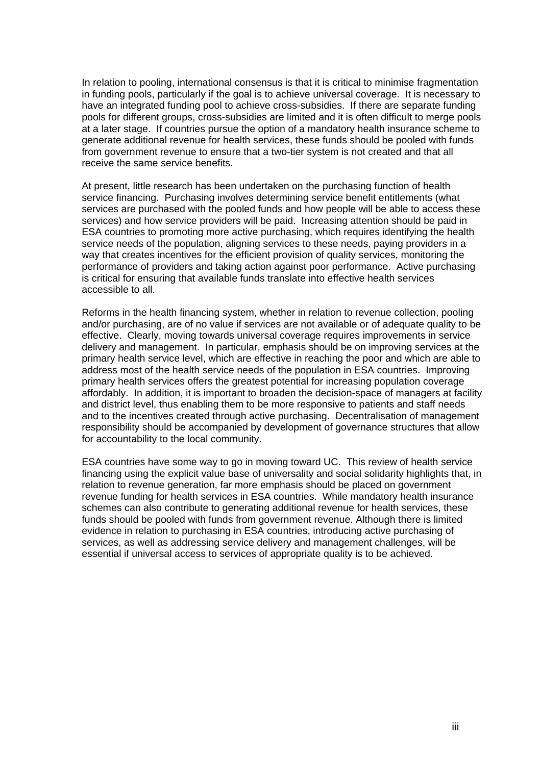In relation to pooling, international consensus is that it is critical to minimise fragmentation in funding pools, particularly if the goal is to achieve universal coverage. It is necessary to have an integrated funding pool to achieve cross-subsidies. If there are separate funding pools for different groups, cross-subsidies are limited and it is often difficult to merge pools at a later stage. If countries pursue the option of a mandatory health insurance scheme to generate additional revenue for health services, these funds should be pooled with funds from government revenue to ensure that a two-tier system is not created and that all receive the same service benefits.

At present, little research has been undertaken on the purchasing function of health service financing. Purchasing involves determining service benefit entitlements (what services are purchased with the pooled funds and how people will be able to access these services) and how service providers will be paid. Increasing attention should be paid in ESA countries to promoting more active purchasing, which requires identifying the health service needs of the population, aligning services to these needs, paying providers in a way that creates incentives for the efficient provision of quality services, monitoring the performance of providers and taking action against poor performance. Active purchasing is critical for ensuring that available funds translate into effective health services accessible to all.

Reforms in the health financing system, whether in relation to revenue collection, pooling and/or purchasing, are of no value if services are not available or of adequate quality to be effective. Clearly, moving towards universal coverage requires improvements in service delivery and management. In particular, emphasis should be on improving services at the primary health service level, which are effective in reaching the poor and which are able to address most of the health service needs of the population in ESA countries. Improving primary health services offers the greatest potential for increasing population coverage affordably. In addition, it is important to broaden the decision-space of managers at facility and district level, thus enabling them to be more responsive to patients and staff needs and to the incentives created through active purchasing. Decentralisation of management responsibility should be accompanied by development of governance structures that allow for accountability to the local community.

ESA countries have some way to go in moving toward UC. This review of health service financing using the explicit value base of universality and social solidarity highlights that, in relation to revenue generation, far more emphasis should be placed on government revenue funding for health services in ESA countries. While mandatory health insurance schemes can also contribute to generating additional revenue for health services, these funds should be pooled with funds from government revenue. Although there is limited evidence in relation to purchasing in ESA countries, introducing active purchasing of services, as well as addressing service delivery and management challenges, will be essential if universal access to services of appropriate quality is to be achieved.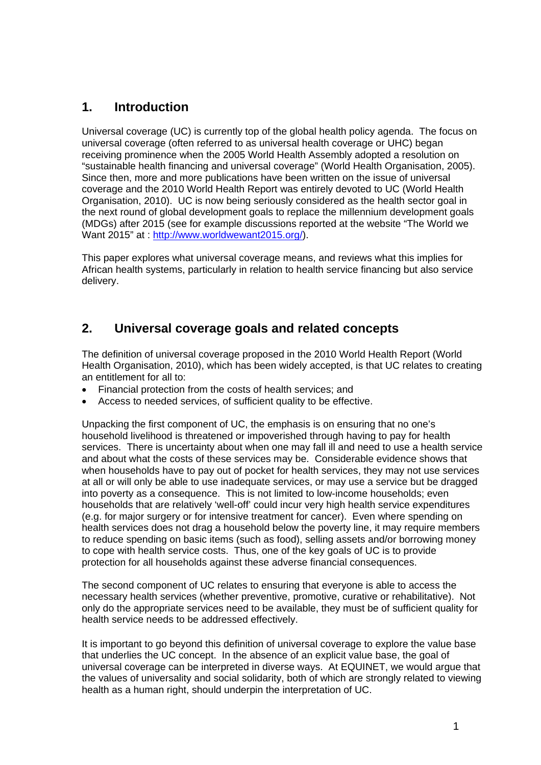# **1. Introduction**

Universal coverage (UC) is currently top of the global health policy agenda. The focus on universal coverage (often referred to as universal health coverage or UHC) began receiving prominence when the 2005 World Health Assembly adopted a resolution on "sustainable health financing and universal coverage" (World Health Organisation, 2005). Since then, more and more publications have been written on the issue of universal coverage and the 2010 World Health Report was entirely devoted to UC (World Health Organisation, 2010). UC is now being seriously considered as the health sector goal in the next round of global development goals to replace the millennium development goals (MDGs) after 2015 (see for example discussions reported at the website "The World we Want 2015" at : http://www.worldwewant2015.org/).

This paper explores what universal coverage means, and reviews what this implies for African health systems, particularly in relation to health service financing but also service delivery.

# **2. Universal coverage goals and related concepts**

The definition of universal coverage proposed in the 2010 World Health Report (World Health Organisation, 2010), which has been widely accepted, is that UC relates to creating an entitlement for all to:

- Financial protection from the costs of health services; and
- Access to needed services, of sufficient quality to be effective.

Unpacking the first component of UC, the emphasis is on ensuring that no one's household livelihood is threatened or impoverished through having to pay for health services. There is uncertainty about when one may fall ill and need to use a health service and about what the costs of these services may be. Considerable evidence shows that when households have to pay out of pocket for health services, they may not use services at all or will only be able to use inadequate services, or may use a service but be dragged into poverty as a consequence. This is not limited to low-income households; even households that are relatively 'well-off' could incur very high health service expenditures (e.g. for major surgery or for intensive treatment for cancer). Even where spending on health services does not drag a household below the poverty line, it may require members to reduce spending on basic items (such as food), selling assets and/or borrowing money to cope with health service costs. Thus, one of the key goals of UC is to provide protection for all households against these adverse financial consequences.

The second component of UC relates to ensuring that everyone is able to access the necessary health services (whether preventive, promotive, curative or rehabilitative). Not only do the appropriate services need to be available, they must be of sufficient quality for health service needs to be addressed effectively.

It is important to go beyond this definition of universal coverage to explore the value base that underlies the UC concept. In the absence of an explicit value base, the goal of universal coverage can be interpreted in diverse ways. At EQUINET, we would argue that the values of universality and social solidarity, both of which are strongly related to viewing health as a human right, should underpin the interpretation of UC.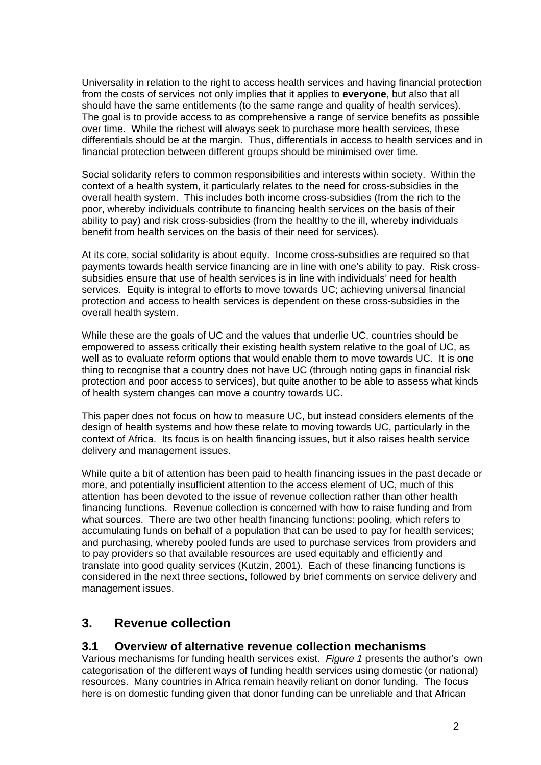Universality in relation to the right to access health services and having financial protection from the costs of services not only implies that it applies to **everyone**, but also that all should have the same entitlements (to the same range and quality of health services). The goal is to provide access to as comprehensive a range of service benefits as possible over time. While the richest will always seek to purchase more health services, these differentials should be at the margin. Thus, differentials in access to health services and in financial protection between different groups should be minimised over time.

Social solidarity refers to common responsibilities and interests within society. Within the context of a health system, it particularly relates to the need for cross-subsidies in the overall health system. This includes both income cross-subsidies (from the rich to the poor, whereby individuals contribute to financing health services on the basis of their ability to pay) and risk cross-subsidies (from the healthy to the ill, whereby individuals benefit from health services on the basis of their need for services).

At its core, social solidarity is about equity. Income cross-subsidies are required so that payments towards health service financing are in line with one's ability to pay. Risk crosssubsidies ensure that use of health services is in line with individuals' need for health services. Equity is integral to efforts to move towards UC; achieving universal financial protection and access to health services is dependent on these cross-subsidies in the overall health system.

While these are the goals of UC and the values that underlie UC, countries should be empowered to assess critically their existing health system relative to the goal of UC, as well as to evaluate reform options that would enable them to move towards UC. It is one thing to recognise that a country does not have UC (through noting gaps in financial risk protection and poor access to services), but quite another to be able to assess what kinds of health system changes can move a country towards UC.

This paper does not focus on how to measure UC, but instead considers elements of the design of health systems and how these relate to moving towards UC, particularly in the context of Africa. Its focus is on health financing issues, but it also raises health service delivery and management issues.

While quite a bit of attention has been paid to health financing issues in the past decade or more, and potentially insufficient attention to the access element of UC, much of this attention has been devoted to the issue of revenue collection rather than other health financing functions. Revenue collection is concerned with how to raise funding and from what sources. There are two other health financing functions: pooling, which refers to accumulating funds on behalf of a population that can be used to pay for health services; and purchasing, whereby pooled funds are used to purchase services from providers and to pay providers so that available resources are used equitably and efficiently and translate into good quality services (Kutzin, 2001). Each of these financing functions is considered in the next three sections, followed by brief comments on service delivery and management issues.

# **3. Revenue collection**

#### **3.1 Overview of alternative revenue collection mechanisms**

Various mechanisms for funding health services exist. *Figure 1* presents the author's own categorisation of the different ways of funding health services using domestic (or national) resources. Many countries in Africa remain heavily reliant on donor funding. The focus here is on domestic funding given that donor funding can be unreliable and that African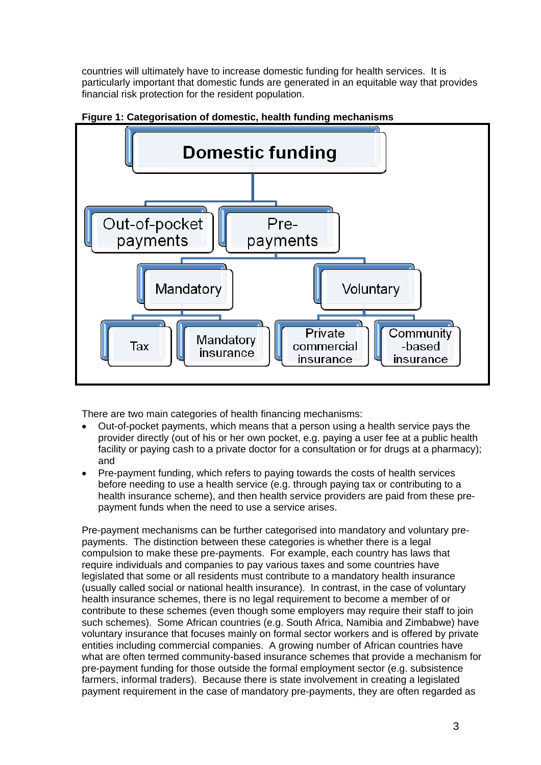countries will ultimately have to increase domestic funding for health services. It is particularly important that domestic funds are generated in an equitable way that provides financial risk protection for the resident population.



#### **Figure 1: Categorisation of domestic, health funding mechanisms**

There are two main categories of health financing mechanisms:

- Out-of-pocket payments, which means that a person using a health service pays the provider directly (out of his or her own pocket, e.g. paying a user fee at a public health facility or paying cash to a private doctor for a consultation or for drugs at a pharmacy); and
- Pre-payment funding, which refers to paying towards the costs of health services before needing to use a health service (e.g. through paying tax or contributing to a health insurance scheme), and then health service providers are paid from these prepayment funds when the need to use a service arises.

Pre-payment mechanisms can be further categorised into mandatory and voluntary prepayments. The distinction between these categories is whether there is a legal compulsion to make these pre-payments. For example, each country has laws that require individuals and companies to pay various taxes and some countries have legislated that some or all residents must contribute to a mandatory health insurance (usually called social or national health insurance). In contrast, in the case of voluntary health insurance schemes, there is no legal requirement to become a member of or contribute to these schemes (even though some employers may require their staff to join such schemes). Some African countries (e.g. South Africa, Namibia and Zimbabwe) have voluntary insurance that focuses mainly on formal sector workers and is offered by private entities including commercial companies. A growing number of African countries have what are often termed community-based insurance schemes that provide a mechanism for pre-payment funding for those outside the formal employment sector (e.g. subsistence farmers, informal traders). Because there is state involvement in creating a legislated payment requirement in the case of mandatory pre-payments, they are often regarded as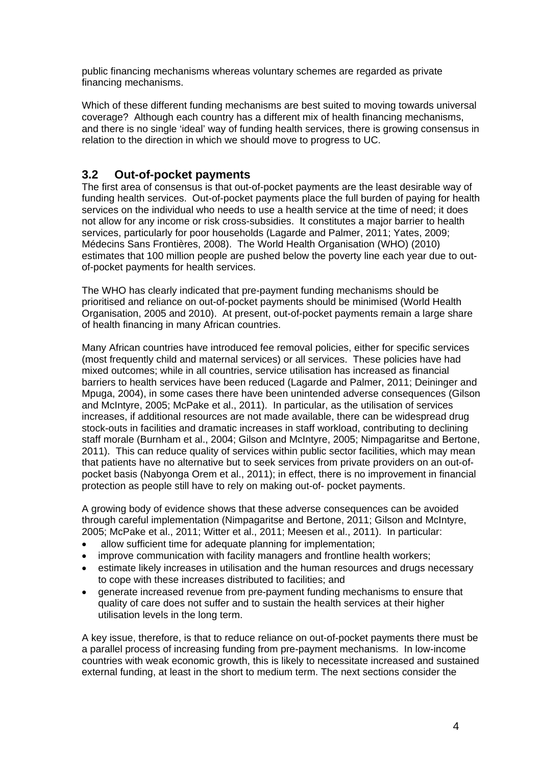public financing mechanisms whereas voluntary schemes are regarded as private financing mechanisms.

Which of these different funding mechanisms are best suited to moving towards universal coverage? Although each country has a different mix of health financing mechanisms, and there is no single 'ideal' way of funding health services, there is growing consensus in relation to the direction in which we should move to progress to UC.

#### **3.2 Out-of-pocket payments**

The first area of consensus is that out-of-pocket payments are the least desirable way of funding health services. Out-of-pocket payments place the full burden of paying for health services on the individual who needs to use a health service at the time of need; it does not allow for any income or risk cross-subsidies. It constitutes a major barrier to health services, particularly for poor households (Lagarde and Palmer, 2011; Yates, 2009; Médecins Sans Frontières, 2008). The World Health Organisation (WHO) (2010) estimates that 100 million people are pushed below the poverty line each year due to outof-pocket payments for health services.

The WHO has clearly indicated that pre-payment funding mechanisms should be prioritised and reliance on out-of-pocket payments should be minimised (World Health Organisation, 2005 and 2010). At present, out-of-pocket payments remain a large share of health financing in many African countries.

Many African countries have introduced fee removal policies, either for specific services (most frequently child and maternal services) or all services. These policies have had mixed outcomes; while in all countries, service utilisation has increased as financial barriers to health services have been reduced (Lagarde and Palmer, 2011; Deininger and Mpuga, 2004), in some cases there have been unintended adverse consequences (Gilson and McIntyre, 2005; McPake et al., 2011). In particular, as the utilisation of services increases, if additional resources are not made available, there can be widespread drug stock-outs in facilities and dramatic increases in staff workload, contributing to declining staff morale (Burnham et al., 2004; Gilson and McIntyre, 2005; Nimpagaritse and Bertone, 2011). This can reduce quality of services within public sector facilities, which may mean that patients have no alternative but to seek services from private providers on an out-ofpocket basis (Nabyonga Orem et al., 2011); in effect, there is no improvement in financial protection as people still have to rely on making out-of- pocket payments.

A growing body of evidence shows that these adverse consequences can be avoided through careful implementation (Nimpagaritse and Bertone, 2011; Gilson and McIntyre, 2005; McPake et al., 2011; Witter et al., 2011; Meesen et al., 2011). In particular:

- allow sufficient time for adequate planning for implementation;
- improve communication with facility managers and frontline health workers;
- estimate likely increases in utilisation and the human resources and drugs necessary to cope with these increases distributed to facilities; and
- generate increased revenue from pre-payment funding mechanisms to ensure that quality of care does not suffer and to sustain the health services at their higher utilisation levels in the long term.

A key issue, therefore, is that to reduce reliance on out-of-pocket payments there must be a parallel process of increasing funding from pre-payment mechanisms. In low-income countries with weak economic growth, this is likely to necessitate increased and sustained external funding, at least in the short to medium term. The next sections consider the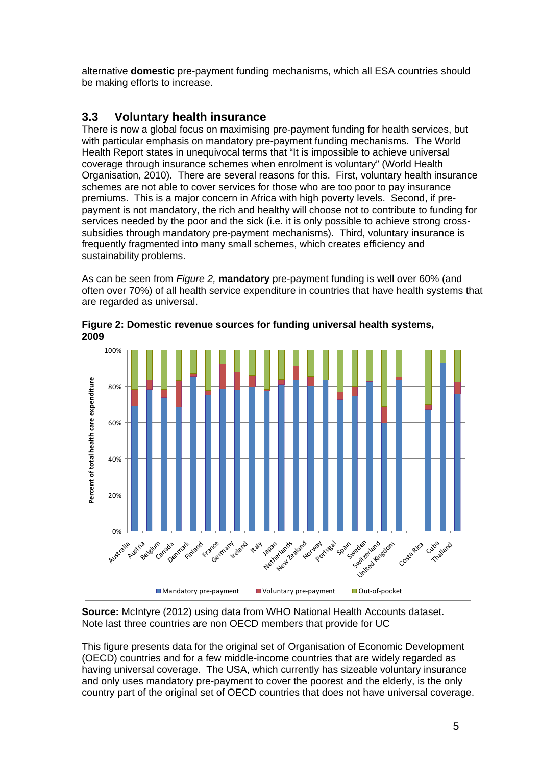alternative **domestic** pre-payment funding mechanisms, which all ESA countries should be making efforts to increase.

# **3.3 Voluntary health insurance**

There is now a global focus on maximising pre-payment funding for health services, but with particular emphasis on mandatory pre-payment funding mechanisms. The World Health Report states in unequivocal terms that "It is impossible to achieve universal coverage through insurance schemes when enrolment is voluntary" (World Health Organisation, 2010). There are several reasons for this. First, voluntary health insurance schemes are not able to cover services for those who are too poor to pay insurance premiums. This is a major concern in Africa with high poverty levels. Second, if prepayment is not mandatory, the rich and healthy will choose not to contribute to funding for services needed by the poor and the sick (i.e. it is only possible to achieve strong crosssubsidies through mandatory pre-payment mechanisms). Third, voluntary insurance is frequently fragmented into many small schemes, which creates efficiency and sustainability problems.

As can be seen from *Figure 2,* **mandatory** pre-payment funding is well over 60% (and often over 70%) of all health service expenditure in countries that have health systems that are regarded as universal.



**Figure 2: Domestic revenue sources for funding universal health systems, 2009** 

**Source:** McIntyre (2012) using data from WHO National Health Accounts dataset. Note last three countries are non OECD members that provide for UC

This figure presents data for the original set of Organisation of Economic Development (OECD) countries and for a few middle-income countries that are widely regarded as having universal coverage. The USA, which currently has sizeable voluntary insurance and only uses mandatory pre-payment to cover the poorest and the elderly, is the only country part of the original set of OECD countries that does not have universal coverage.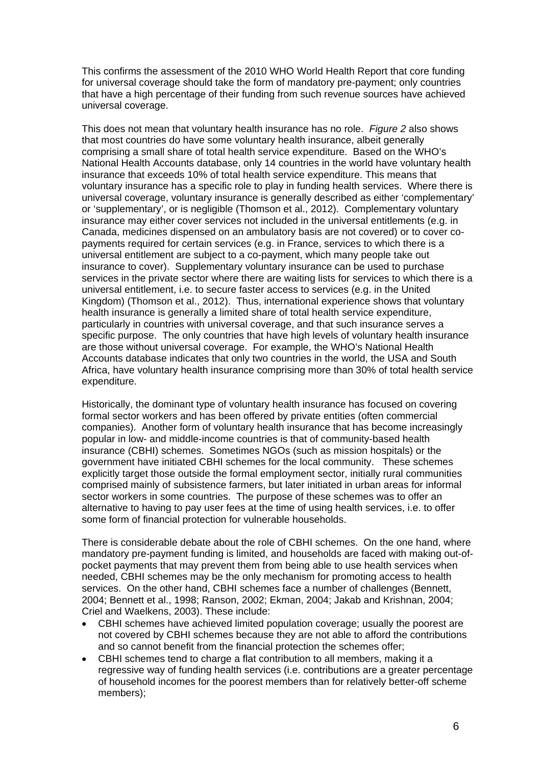This confirms the assessment of the 2010 WHO World Health Report that core funding for universal coverage should take the form of mandatory pre-payment; only countries that have a high percentage of their funding from such revenue sources have achieved universal coverage.

This does not mean that voluntary health insurance has no role. *Figure 2* also shows that most countries do have some voluntary health insurance, albeit generally comprising a small share of total health service expenditure. Based on the WHO's National Health Accounts database, only 14 countries in the world have voluntary health insurance that exceeds 10% of total health service expenditure. This means that voluntary insurance has a specific role to play in funding health services. Where there is universal coverage, voluntary insurance is generally described as either 'complementary' or 'supplementary', or is negligible (Thomson et al., 2012). Complementary voluntary insurance may either cover services not included in the universal entitlements (e.g. in Canada, medicines dispensed on an ambulatory basis are not covered) or to cover copayments required for certain services (e.g. in France, services to which there is a universal entitlement are subject to a co-payment, which many people take out insurance to cover). Supplementary voluntary insurance can be used to purchase services in the private sector where there are waiting lists for services to which there is a universal entitlement, i.e. to secure faster access to services (e.g. in the United Kingdom) (Thomson et al., 2012). Thus, international experience shows that voluntary health insurance is generally a limited share of total health service expenditure, particularly in countries with universal coverage, and that such insurance serves a specific purpose. The only countries that have high levels of voluntary health insurance are those without universal coverage. For example, the WHO's National Health Accounts database indicates that only two countries in the world, the USA and South Africa, have voluntary health insurance comprising more than 30% of total health service expenditure.

Historically, the dominant type of voluntary health insurance has focused on covering formal sector workers and has been offered by private entities (often commercial companies). Another form of voluntary health insurance that has become increasingly popular in low- and middle-income countries is that of community-based health insurance (CBHI) schemes. Sometimes NGOs (such as mission hospitals) or the government have initiated CBHI schemes for the local community. These schemes explicitly target those outside the formal employment sector, initially rural communities comprised mainly of subsistence farmers, but later initiated in urban areas for informal sector workers in some countries. The purpose of these schemes was to offer an alternative to having to pay user fees at the time of using health services, i.e. to offer some form of financial protection for vulnerable households.

There is considerable debate about the role of CBHI schemes. On the one hand, where mandatory pre-payment funding is limited, and households are faced with making out-ofpocket payments that may prevent them from being able to use health services when needed, CBHI schemes may be the only mechanism for promoting access to health services. On the other hand, CBHI schemes face a number of challenges (Bennett, 2004; Bennett et al., 1998; Ranson, 2002; Ekman, 2004; Jakab and Krishnan, 2004; Criel and Waelkens, 2003). These include:

- CBHI schemes have achieved limited population coverage; usually the poorest are not covered by CBHI schemes because they are not able to afford the contributions and so cannot benefit from the financial protection the schemes offer;
- CBHI schemes tend to charge a flat contribution to all members, making it a regressive way of funding health services (i.e. contributions are a greater percentage of household incomes for the poorest members than for relatively better-off scheme members);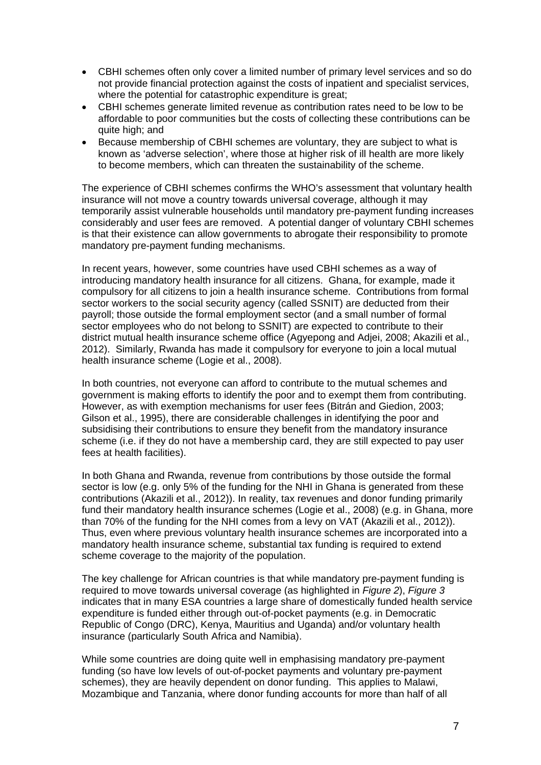- CBHI schemes often only cover a limited number of primary level services and so do not provide financial protection against the costs of inpatient and specialist services, where the potential for catastrophic expenditure is great;
- CBHI schemes generate limited revenue as contribution rates need to be low to be affordable to poor communities but the costs of collecting these contributions can be quite high; and
- Because membership of CBHI schemes are voluntary, they are subject to what is known as 'adverse selection', where those at higher risk of ill health are more likely to become members, which can threaten the sustainability of the scheme.

The experience of CBHI schemes confirms the WHO's assessment that voluntary health insurance will not move a country towards universal coverage, although it may temporarily assist vulnerable households until mandatory pre-payment funding increases considerably and user fees are removed. A potential danger of voluntary CBHI schemes is that their existence can allow governments to abrogate their responsibility to promote mandatory pre-payment funding mechanisms.

In recent years, however, some countries have used CBHI schemes as a way of introducing mandatory health insurance for all citizens. Ghana, for example, made it compulsory for all citizens to join a health insurance scheme. Contributions from formal sector workers to the social security agency (called SSNIT) are deducted from their payroll; those outside the formal employment sector (and a small number of formal sector employees who do not belong to SSNIT) are expected to contribute to their district mutual health insurance scheme office (Agyepong and Adjei, 2008; Akazili et al., 2012). Similarly, Rwanda has made it compulsory for everyone to join a local mutual health insurance scheme (Logie et al., 2008).

In both countries, not everyone can afford to contribute to the mutual schemes and government is making efforts to identify the poor and to exempt them from contributing. However, as with exemption mechanisms for user fees (Bitrán and Giedion, 2003; Gilson et al., 1995), there are considerable challenges in identifying the poor and subsidising their contributions to ensure they benefit from the mandatory insurance scheme (i.e. if they do not have a membership card, they are still expected to pay user fees at health facilities).

In both Ghana and Rwanda, revenue from contributions by those outside the formal sector is low (e.g. only 5% of the funding for the NHI in Ghana is generated from these contributions (Akazili et al., 2012)). In reality, tax revenues and donor funding primarily fund their mandatory health insurance schemes (Logie et al., 2008) (e.g. in Ghana, more than 70% of the funding for the NHI comes from a levy on VAT (Akazili et al., 2012)). Thus, even where previous voluntary health insurance schemes are incorporated into a mandatory health insurance scheme, substantial tax funding is required to extend scheme coverage to the majority of the population.

The key challenge for African countries is that while mandatory pre-payment funding is required to move towards universal coverage (as highlighted in *Figure 2*), *Figure 3*  indicates that in many ESA countries a large share of domestically funded health service expenditure is funded either through out-of-pocket payments (e.g. in Democratic Republic of Congo (DRC), Kenya, Mauritius and Uganda) and/or voluntary health insurance (particularly South Africa and Namibia).

While some countries are doing quite well in emphasising mandatory pre-payment funding (so have low levels of out-of-pocket payments and voluntary pre-payment schemes), they are heavily dependent on donor funding. This applies to Malawi, Mozambique and Tanzania, where donor funding accounts for more than half of all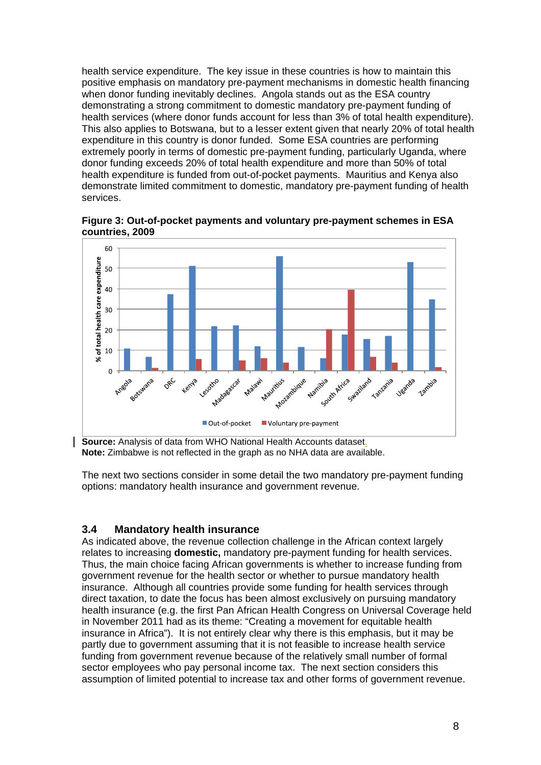health service expenditure. The key issue in these countries is how to maintain this positive emphasis on mandatory pre-payment mechanisms in domestic health financing when donor funding inevitably declines. Angola stands out as the ESA country demonstrating a strong commitment to domestic mandatory pre-payment funding of health services (where donor funds account for less than 3% of total health expenditure). This also applies to Botswana, but to a lesser extent given that nearly 20% of total health expenditure in this country is donor funded. Some ESA countries are performing extremely poorly in terms of domestic pre-payment funding, particularly Uganda, where donor funding exceeds 20% of total health expenditure and more than 50% of total health expenditure is funded from out-of-pocket payments. Mauritius and Kenya also demonstrate limited commitment to domestic, mandatory pre-payment funding of health services.

**Figure 3: Out-of-pocket payments and voluntary pre-payment schemes in ESA countries, 2009** 



**Source:** Analysis of data from WHO National Health Accounts dataset. **Note:** Zimbabwe is not reflected in the graph as no NHA data are available.

The next two sections consider in some detail the two mandatory pre-payment funding options: mandatory health insurance and government revenue.

#### **3.4 Mandatory health insurance**

As indicated above, the revenue collection challenge in the African context largely relates to increasing **domestic,** mandatory pre-payment funding for health services. Thus, the main choice facing African governments is whether to increase funding from government revenue for the health sector or whether to pursue mandatory health insurance. Although all countries provide some funding for health services through direct taxation, to date the focus has been almost exclusively on pursuing mandatory health insurance (e.g. the first Pan African Health Congress on Universal Coverage held in November 2011 had as its theme: "Creating a movement for equitable health insurance in Africa"). It is not entirely clear why there is this emphasis, but it may be partly due to government assuming that it is not feasible to increase health service funding from government revenue because of the relatively small number of formal sector employees who pay personal income tax. The next section considers this assumption of limited potential to increase tax and other forms of government revenue.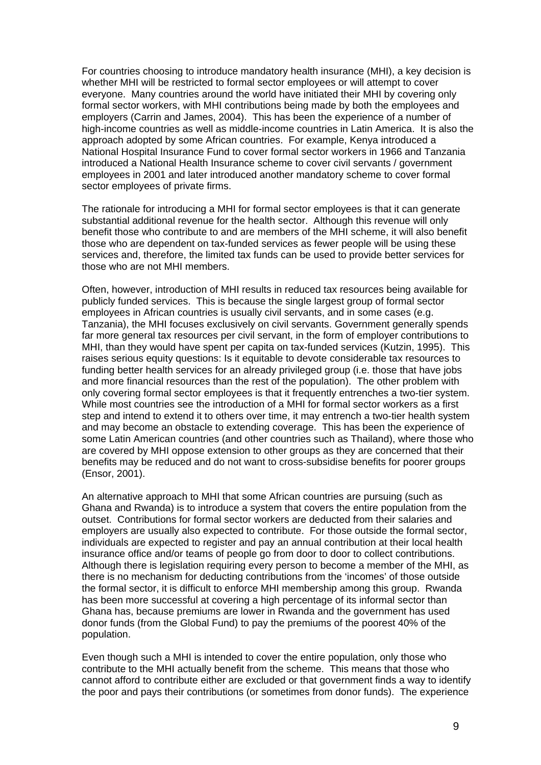For countries choosing to introduce mandatory health insurance (MHI), a key decision is whether MHI will be restricted to formal sector employees or will attempt to cover everyone. Many countries around the world have initiated their MHI by covering only formal sector workers, with MHI contributions being made by both the employees and employers (Carrin and James, 2004). This has been the experience of a number of high-income countries as well as middle-income countries in Latin America. It is also the approach adopted by some African countries. For example, Kenya introduced a National Hospital Insurance Fund to cover formal sector workers in 1966 and Tanzania introduced a National Health Insurance scheme to cover civil servants / government employees in 2001 and later introduced another mandatory scheme to cover formal sector employees of private firms.

The rationale for introducing a MHI for formal sector employees is that it can generate substantial additional revenue for the health sector. Although this revenue will only benefit those who contribute to and are members of the MHI scheme, it will also benefit those who are dependent on tax-funded services as fewer people will be using these services and, therefore, the limited tax funds can be used to provide better services for those who are not MHI members.

Often, however, introduction of MHI results in reduced tax resources being available for publicly funded services. This is because the single largest group of formal sector employees in African countries is usually civil servants, and in some cases (e.g. Tanzania), the MHI focuses exclusively on civil servants. Government generally spends far more general tax resources per civil servant, in the form of employer contributions to MHI, than they would have spent per capita on tax-funded services (Kutzin, 1995). This raises serious equity questions: Is it equitable to devote considerable tax resources to funding better health services for an already privileged group (i.e. those that have jobs and more financial resources than the rest of the population). The other problem with only covering formal sector employees is that it frequently entrenches a two-tier system. While most countries see the introduction of a MHI for formal sector workers as a first step and intend to extend it to others over time, it may entrench a two-tier health system and may become an obstacle to extending coverage. This has been the experience of some Latin American countries (and other countries such as Thailand), where those who are covered by MHI oppose extension to other groups as they are concerned that their benefits may be reduced and do not want to cross-subsidise benefits for poorer groups (Ensor, 2001).

An alternative approach to MHI that some African countries are pursuing (such as Ghana and Rwanda) is to introduce a system that covers the entire population from the outset. Contributions for formal sector workers are deducted from their salaries and employers are usually also expected to contribute. For those outside the formal sector, individuals are expected to register and pay an annual contribution at their local health insurance office and/or teams of people go from door to door to collect contributions. Although there is legislation requiring every person to become a member of the MHI, as there is no mechanism for deducting contributions from the 'incomes' of those outside the formal sector, it is difficult to enforce MHI membership among this group. Rwanda has been more successful at covering a high percentage of its informal sector than Ghana has, because premiums are lower in Rwanda and the government has used donor funds (from the Global Fund) to pay the premiums of the poorest 40% of the population.

Even though such a MHI is intended to cover the entire population, only those who contribute to the MHI actually benefit from the scheme. This means that those who cannot afford to contribute either are excluded or that government finds a way to identify the poor and pays their contributions (or sometimes from donor funds). The experience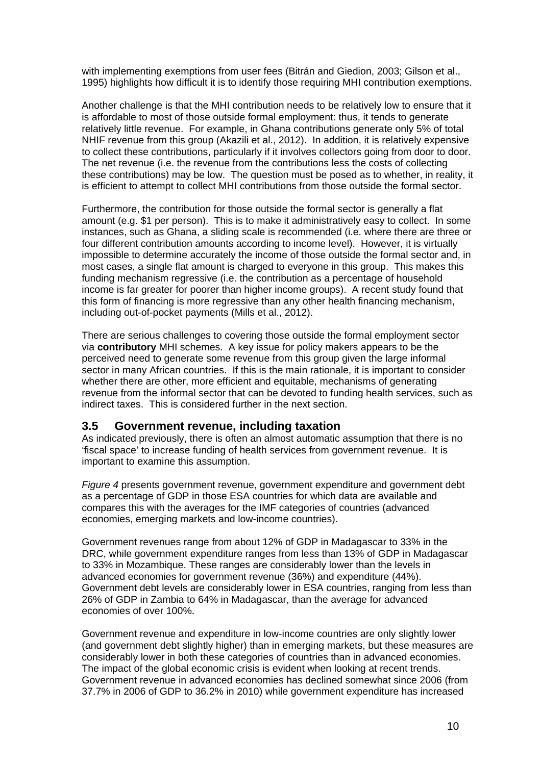with implementing exemptions from user fees (Bitrán and Giedion, 2003; Gilson et al., 1995) highlights how difficult it is to identify those requiring MHI contribution exemptions.

Another challenge is that the MHI contribution needs to be relatively low to ensure that it is affordable to most of those outside formal employment: thus, it tends to generate relatively little revenue. For example, in Ghana contributions generate only 5% of total NHIF revenue from this group (Akazili et al., 2012). In addition, it is relatively expensive to collect these contributions, particularly if it involves collectors going from door to door. The net revenue (i.e. the revenue from the contributions less the costs of collecting these contributions) may be low. The question must be posed as to whether, in reality, it is efficient to attempt to collect MHI contributions from those outside the formal sector.

Furthermore, the contribution for those outside the formal sector is generally a flat amount (e.g. \$1 per person). This is to make it administratively easy to collect. In some instances, such as Ghana, a sliding scale is recommended (i.e. where there are three or four different contribution amounts according to income level). However, it is virtually impossible to determine accurately the income of those outside the formal sector and, in most cases, a single flat amount is charged to everyone in this group. This makes this funding mechanism regressive (i.e. the contribution as a percentage of household income is far greater for poorer than higher income groups). A recent study found that this form of financing is more regressive than any other health financing mechanism, including out-of-pocket payments (Mills et al., 2012).

There are serious challenges to covering those outside the formal employment sector via **contributory** MHI schemes. A key issue for policy makers appears to be the perceived need to generate some revenue from this group given the large informal sector in many African countries. If this is the main rationale, it is important to consider whether there are other, more efficient and equitable, mechanisms of generating revenue from the informal sector that can be devoted to funding health services, such as indirect taxes. This is considered further in the next section.

#### **3.5 Government revenue, including taxation**

As indicated previously, there is often an almost automatic assumption that there is no 'fiscal space' to increase funding of health services from government revenue. It is important to examine this assumption.

*Figure 4* presents government revenue, government expenditure and government debt as a percentage of GDP in those ESA countries for which data are available and compares this with the averages for the IMF categories of countries (advanced economies, emerging markets and low-income countries).

Government revenues range from about 12% of GDP in Madagascar to 33% in the DRC, while government expenditure ranges from less than 13% of GDP in Madagascar to 33% in Mozambique. These ranges are considerably lower than the levels in advanced economies for government revenue (36%) and expenditure (44%). Government debt levels are considerably lower in ESA countries, ranging from less than 26% of GDP in Zambia to 64% in Madagascar, than the average for advanced economies of over 100%.

Government revenue and expenditure in low-income countries are only slightly lower (and government debt slightly higher) than in emerging markets, but these measures are considerably lower in both these categories of countries than in advanced economies. The impact of the global economic crisis is evident when looking at recent trends. Government revenue in advanced economies has declined somewhat since 2006 (from 37.7% in 2006 of GDP to 36.2% in 2010) while government expenditure has increased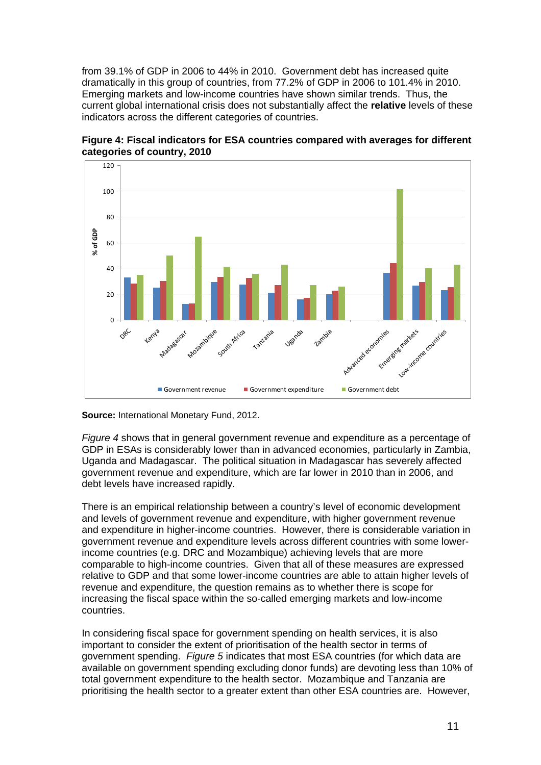from 39.1% of GDP in 2006 to 44% in 2010. Government debt has increased quite dramatically in this group of countries, from 77.2% of GDP in 2006 to 101.4% in 2010. Emerging markets and low-income countries have shown similar trends. Thus, the current global international crisis does not substantially affect the **relative** levels of these indicators across the different categories of countries.



**Figure 4: Fiscal indicators for ESA countries compared with averages for different categories of country, 2010** 

**Source:** International Monetary Fund, 2012.

*Figure 4* shows that in general government revenue and expenditure as a percentage of GDP in ESAs is considerably lower than in advanced economies, particularly in Zambia, Uganda and Madagascar. The political situation in Madagascar has severely affected government revenue and expenditure, which are far lower in 2010 than in 2006, and debt levels have increased rapidly.

There is an empirical relationship between a country's level of economic development and levels of government revenue and expenditure, with higher government revenue and expenditure in higher-income countries. However, there is considerable variation in government revenue and expenditure levels across different countries with some lowerincome countries (e.g. DRC and Mozambique) achieving levels that are more comparable to high-income countries. Given that all of these measures are expressed relative to GDP and that some lower-income countries are able to attain higher levels of revenue and expenditure, the question remains as to whether there is scope for increasing the fiscal space within the so-called emerging markets and low-income countries.

In considering fiscal space for government spending on health services, it is also important to consider the extent of prioritisation of the health sector in terms of government spending. *Figure 5* indicates that most ESA countries (for which data are available on government spending excluding donor funds) are devoting less than 10% of total government expenditure to the health sector. Mozambique and Tanzania are prioritising the health sector to a greater extent than other ESA countries are. However,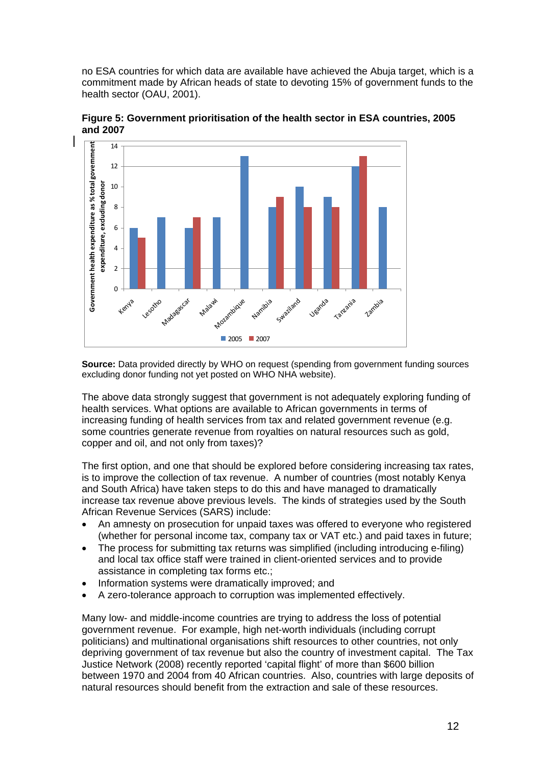no ESA countries for which data are available have achieved the Abuja target, which is a commitment made by African heads of state to devoting 15% of government funds to the health sector (OAU, 2001).



**Figure 5: Government prioritisation of the health sector in ESA countries, 2005 and 2007** 

**Source:** Data provided directly by WHO on request (spending from government funding sources excluding donor funding not yet posted on WHO NHA website).

The above data strongly suggest that government is not adequately exploring funding of health services. What options are available to African governments in terms of increasing funding of health services from tax and related government revenue (e.g. some countries generate revenue from royalties on natural resources such as gold, copper and oil, and not only from taxes)?

The first option, and one that should be explored before considering increasing tax rates, is to improve the collection of tax revenue. A number of countries (most notably Kenya and South Africa) have taken steps to do this and have managed to dramatically increase tax revenue above previous levels. The kinds of strategies used by the South African Revenue Services (SARS) include:

- An amnesty on prosecution for unpaid taxes was offered to everyone who registered (whether for personal income tax, company tax or VAT etc.) and paid taxes in future;
- The process for submitting tax returns was simplified (including introducing e-filing) and local tax office staff were trained in client-oriented services and to provide assistance in completing tax forms etc.;
- Information systems were dramatically improved; and
- A zero-tolerance approach to corruption was implemented effectively.

Many low- and middle-income countries are trying to address the loss of potential government revenue. For example, high net-worth individuals (including corrupt politicians) and multinational organisations shift resources to other countries, not only depriving government of tax revenue but also the country of investment capital. The Tax Justice Network (2008) recently reported 'capital flight' of more than \$600 billion between 1970 and 2004 from 40 African countries. Also, countries with large deposits of natural resources should benefit from the extraction and sale of these resources.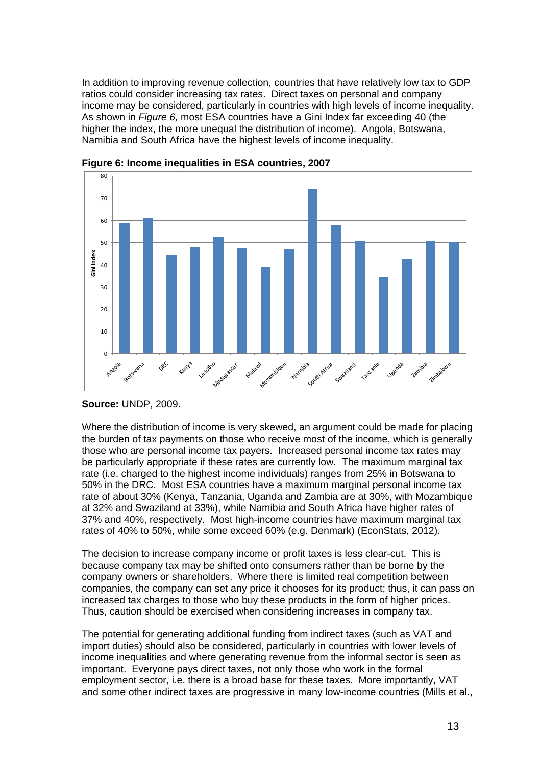In addition to improving revenue collection, countries that have relatively low tax to GDP ratios could consider increasing tax rates. Direct taxes on personal and company income may be considered, particularly in countries with high levels of income inequality. As shown in *Figure 6,* most ESA countries have a Gini Index far exceeding 40 (the higher the index, the more unequal the distribution of income). Angola, Botswana, Namibia and South Africa have the highest levels of income inequality.



**Figure 6: Income inequalities in ESA countries, 2007** 

Where the distribution of income is very skewed, an argument could be made for placing the burden of tax payments on those who receive most of the income, which is generally those who are personal income tax payers. Increased personal income tax rates may be particularly appropriate if these rates are currently low. The maximum marginal tax rate (i.e. charged to the highest income individuals) ranges from 25% in Botswana to 50% in the DRC. Most ESA countries have a maximum marginal personal income tax rate of about 30% (Kenya, Tanzania, Uganda and Zambia are at 30%, with Mozambique at 32% and Swaziland at 33%), while Namibia and South Africa have higher rates of 37% and 40%, respectively. Most high-income countries have maximum marginal tax rates of 40% to 50%, while some exceed 60% (e.g. Denmark) (EconStats, 2012).

The decision to increase company income or profit taxes is less clear-cut. This is because company tax may be shifted onto consumers rather than be borne by the company owners or shareholders. Where there is limited real competition between companies, the company can set any price it chooses for its product; thus, it can pass on increased tax charges to those who buy these products in the form of higher prices. Thus, caution should be exercised when considering increases in company tax.

The potential for generating additional funding from indirect taxes (such as VAT and import duties) should also be considered, particularly in countries with lower levels of income inequalities and where generating revenue from the informal sector is seen as important. Everyone pays direct taxes, not only those who work in the formal employment sector, i.e. there is a broad base for these taxes. More importantly, VAT and some other indirect taxes are progressive in many low-income countries (Mills et al.,

**Source:** UNDP, 2009.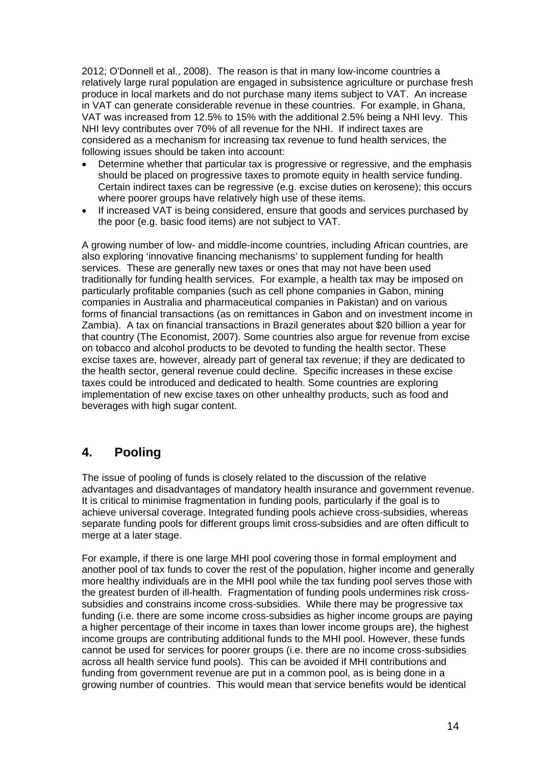2012; O'Donnell et al., 2008). The reason is that in many low-income countries a relatively large rural population are engaged in subsistence agriculture or purchase fresh produce in local markets and do not purchase many items subject to VAT. An increase in VAT can generate considerable revenue in these countries. For example, in Ghana, VAT was increased from 12.5% to 15% with the additional 2.5% being a NHI levy. This NHI levy contributes over 70% of all revenue for the NHI. If indirect taxes are considered as a mechanism for increasing tax revenue to fund health services, the following issues should be taken into account:

- Determine whether that particular tax is progressive or regressive, and the emphasis should be placed on progressive taxes to promote equity in health service funding. Certain indirect taxes can be regressive (e.g. excise duties on kerosene); this occurs where poorer groups have relatively high use of these items.
- If increased VAT is being considered, ensure that goods and services purchased by the poor (e.g. basic food items) are not subject to VAT.

A growing number of low- and middle-income countries, including African countries, are also exploring 'innovative financing mechanisms' to supplement funding for health services. These are generally new taxes or ones that may not have been used traditionally for funding health services. For example, a health tax may be imposed on particularly profitable companies (such as cell phone companies in Gabon, mining companies in Australia and pharmaceutical companies in Pakistan) and on various forms of financial transactions (as on remittances in Gabon and on investment income in Zambia). A tax on financial transactions in Brazil generates about \$20 billion a year for that country (The Economist, 2007). Some countries also argue for revenue from excise on tobacco and alcohol products to be devoted to funding the health sector. These excise taxes are, however, already part of general tax revenue; if they are dedicated to the health sector, general revenue could decline. Specific increases in these excise taxes could be introduced and dedicated to health. Some countries are exploring implementation of new excise taxes on other unhealthy products, such as food and beverages with high sugar content.

### **4. Pooling**

The issue of pooling of funds is closely related to the discussion of the relative advantages and disadvantages of mandatory health insurance and government revenue. It is critical to minimise fragmentation in funding pools, particularly if the goal is to achieve universal coverage. Integrated funding pools achieve cross-subsidies, whereas separate funding pools for different groups limit cross-subsidies and are often difficult to merge at a later stage.

For example, if there is one large MHI pool covering those in formal employment and another pool of tax funds to cover the rest of the population, higher income and generally more healthy individuals are in the MHI pool while the tax funding pool serves those with the greatest burden of ill-health. Fragmentation of funding pools undermines risk crosssubsidies and constrains income cross-subsidies. While there may be progressive tax funding (i.e. there are some income cross-subsidies as higher income groups are paying a higher percentage of their income in taxes than lower income groups are), the highest income groups are contributing additional funds to the MHI pool. However, these funds cannot be used for services for poorer groups (i.e. there are no income cross-subsidies across all health service fund pools). This can be avoided if MHI contributions and funding from government revenue are put in a common pool, as is being done in a growing number of countries. This would mean that service benefits would be identical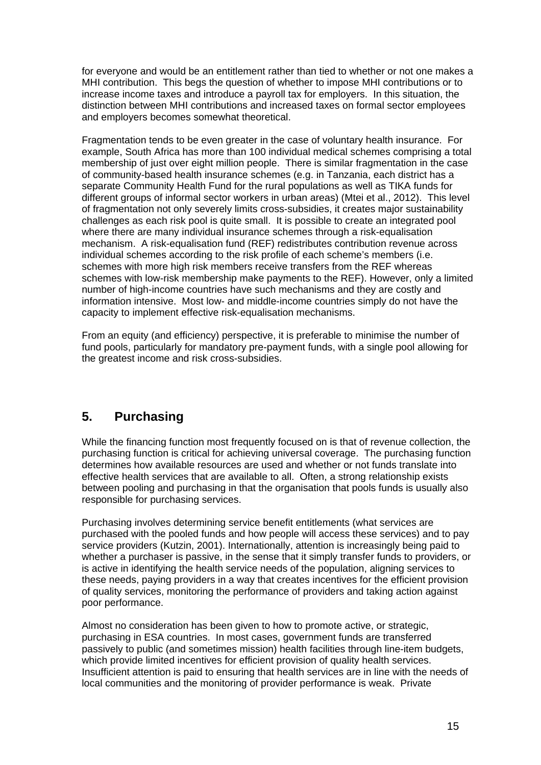for everyone and would be an entitlement rather than tied to whether or not one makes a MHI contribution. This begs the question of whether to impose MHI contributions or to increase income taxes and introduce a payroll tax for employers. In this situation, the distinction between MHI contributions and increased taxes on formal sector employees and employers becomes somewhat theoretical.

Fragmentation tends to be even greater in the case of voluntary health insurance. For example, South Africa has more than 100 individual medical schemes comprising a total membership of just over eight million people. There is similar fragmentation in the case of community-based health insurance schemes (e.g. in Tanzania, each district has a separate Community Health Fund for the rural populations as well as TIKA funds for different groups of informal sector workers in urban areas) (Mtei et al., 2012). This level of fragmentation not only severely limits cross-subsidies, it creates major sustainability challenges as each risk pool is quite small. It is possible to create an integrated pool where there are many individual insurance schemes through a risk-equalisation mechanism. A risk-equalisation fund (REF) redistributes contribution revenue across individual schemes according to the risk profile of each scheme's members (i.e. schemes with more high risk members receive transfers from the REF whereas schemes with low-risk membership make payments to the REF). However, only a limited number of high-income countries have such mechanisms and they are costly and information intensive. Most low- and middle-income countries simply do not have the capacity to implement effective risk-equalisation mechanisms.

From an equity (and efficiency) perspective, it is preferable to minimise the number of fund pools, particularly for mandatory pre-payment funds, with a single pool allowing for the greatest income and risk cross-subsidies.

# **5. Purchasing**

While the financing function most frequently focused on is that of revenue collection, the purchasing function is critical for achieving universal coverage. The purchasing function determines how available resources are used and whether or not funds translate into effective health services that are available to all. Often, a strong relationship exists between pooling and purchasing in that the organisation that pools funds is usually also responsible for purchasing services.

Purchasing involves determining service benefit entitlements (what services are purchased with the pooled funds and how people will access these services) and to pay service providers (Kutzin, 2001). Internationally, attention is increasingly being paid to whether a purchaser is passive, in the sense that it simply transfer funds to providers, or is active in identifying the health service needs of the population, aligning services to these needs, paying providers in a way that creates incentives for the efficient provision of quality services, monitoring the performance of providers and taking action against poor performance.

Almost no consideration has been given to how to promote active, or strategic, purchasing in ESA countries. In most cases, government funds are transferred passively to public (and sometimes mission) health facilities through line-item budgets, which provide limited incentives for efficient provision of quality health services. Insufficient attention is paid to ensuring that health services are in line with the needs of local communities and the monitoring of provider performance is weak. Private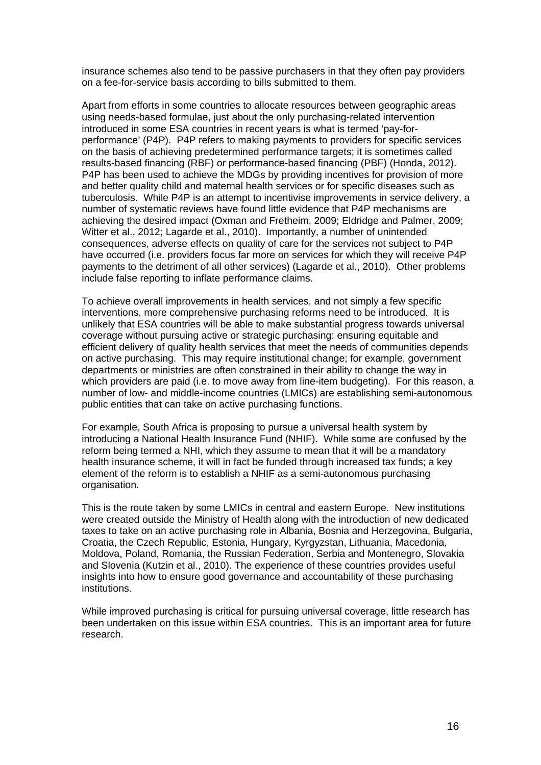insurance schemes also tend to be passive purchasers in that they often pay providers on a fee-for-service basis according to bills submitted to them.

Apart from efforts in some countries to allocate resources between geographic areas using needs-based formulae, just about the only purchasing-related intervention introduced in some ESA countries in recent years is what is termed 'pay-forperformance' (P4P). P4P refers to making payments to providers for specific services on the basis of achieving predetermined performance targets; it is sometimes called results-based financing (RBF) or performance-based financing (PBF) (Honda, 2012). P4P has been used to achieve the MDGs by providing incentives for provision of more and better quality child and maternal health services or for specific diseases such as tuberculosis. While P4P is an attempt to incentivise improvements in service delivery, a number of systematic reviews have found little evidence that P4P mechanisms are achieving the desired impact (Oxman and Fretheim, 2009; Eldridge and Palmer, 2009; Witter et al., 2012; Lagarde et al., 2010). Importantly, a number of unintended consequences, adverse effects on quality of care for the services not subject to P4P have occurred (i.e. providers focus far more on services for which they will receive P4P payments to the detriment of all other services) (Lagarde et al., 2010). Other problems include false reporting to inflate performance claims.

To achieve overall improvements in health services, and not simply a few specific interventions, more comprehensive purchasing reforms need to be introduced. It is unlikely that ESA countries will be able to make substantial progress towards universal coverage without pursuing active or strategic purchasing: ensuring equitable and efficient delivery of quality health services that meet the needs of communities depends on active purchasing. This may require institutional change; for example, government departments or ministries are often constrained in their ability to change the way in which providers are paid (i.e. to move away from line-item budgeting). For this reason, a number of low- and middle-income countries (LMICs) are establishing semi-autonomous public entities that can take on active purchasing functions.

For example, South Africa is proposing to pursue a universal health system by introducing a National Health Insurance Fund (NHIF). While some are confused by the reform being termed a NHI, which they assume to mean that it will be a mandatory health insurance scheme, it will in fact be funded through increased tax funds; a key element of the reform is to establish a NHIF as a semi-autonomous purchasing organisation.

This is the route taken by some LMICs in central and eastern Europe. New institutions were created outside the Ministry of Health along with the introduction of new dedicated taxes to take on an active purchasing role in Albania, Bosnia and Herzegovina, Bulgaria, Croatia, the Czech Republic, Estonia, Hungary, Kyrgyzstan, Lithuania, Macedonia, Moldova, Poland, Romania, the Russian Federation, Serbia and Montenegro, Slovakia and Slovenia (Kutzin et al., 2010). The experience of these countries provides useful insights into how to ensure good governance and accountability of these purchasing institutions.

While improved purchasing is critical for pursuing universal coverage, little research has been undertaken on this issue within ESA countries. This is an important area for future research.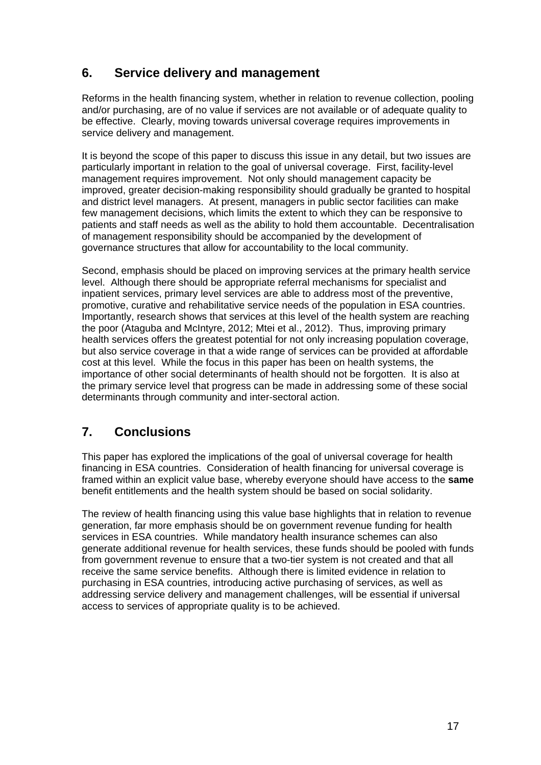# **6. Service delivery and management**

Reforms in the health financing system, whether in relation to revenue collection, pooling and/or purchasing, are of no value if services are not available or of adequate quality to be effective. Clearly, moving towards universal coverage requires improvements in service delivery and management.

It is beyond the scope of this paper to discuss this issue in any detail, but two issues are particularly important in relation to the goal of universal coverage. First, facility-level management requires improvement. Not only should management capacity be improved, greater decision-making responsibility should gradually be granted to hospital and district level managers. At present, managers in public sector facilities can make few management decisions, which limits the extent to which they can be responsive to patients and staff needs as well as the ability to hold them accountable. Decentralisation of management responsibility should be accompanied by the development of governance structures that allow for accountability to the local community.

Second, emphasis should be placed on improving services at the primary health service level. Although there should be appropriate referral mechanisms for specialist and inpatient services, primary level services are able to address most of the preventive, promotive, curative and rehabilitative service needs of the population in ESA countries. Importantly, research shows that services at this level of the health system are reaching the poor (Ataguba and McIntyre, 2012; Mtei et al., 2012). Thus, improving primary health services offers the greatest potential for not only increasing population coverage, but also service coverage in that a wide range of services can be provided at affordable cost at this level. While the focus in this paper has been on health systems, the importance of other social determinants of health should not be forgotten. It is also at the primary service level that progress can be made in addressing some of these social determinants through community and inter-sectoral action.

# **7. Conclusions**

This paper has explored the implications of the goal of universal coverage for health financing in ESA countries. Consideration of health financing for universal coverage is framed within an explicit value base, whereby everyone should have access to the **same** benefit entitlements and the health system should be based on social solidarity.

The review of health financing using this value base highlights that in relation to revenue generation, far more emphasis should be on government revenue funding for health services in ESA countries. While mandatory health insurance schemes can also generate additional revenue for health services, these funds should be pooled with funds from government revenue to ensure that a two-tier system is not created and that all receive the same service benefits. Although there is limited evidence in relation to purchasing in ESA countries, introducing active purchasing of services, as well as addressing service delivery and management challenges, will be essential if universal access to services of appropriate quality is to be achieved.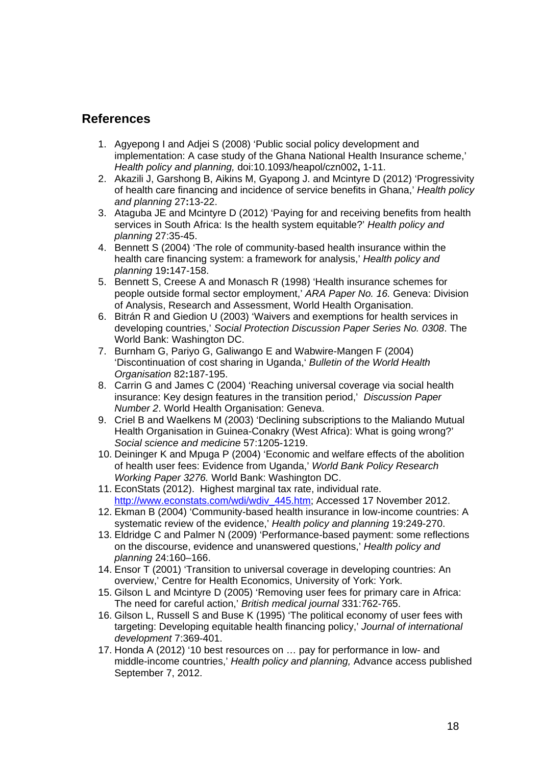### **References**

- 1. Agyepong I and Adjei S (2008) 'Public social policy development and implementation: A case study of the Ghana National Health Insurance scheme,' *Health policy and planning,* doi:10.1093/heapol/czn002**,** 1-11.
- 2. Akazili J, Garshong B, Aikins M, Gyapong J. and Mcintyre D (2012) 'Progressivity of health care financing and incidence of service benefits in Ghana,' *Health policy and planning* 27**:**13-22.
- 3. Ataguba JE and Mcintyre D (2012) 'Paying for and receiving benefits from health services in South Africa: Is the health system equitable?' *Health policy and planning* 27:35-45.
- 4. Bennett S (2004) 'The role of community-based health insurance within the health care financing system: a framework for analysis,' *Health policy and planning* 19**:**147-158.
- 5. Bennett S, Creese A and Monasch R (1998) 'Health insurance schemes for people outside formal sector employment,' *ARA Paper No. 16.* Geneva: Division of Analysis, Research and Assessment, World Health Organisation.
- 6. Bitrán R and Giedion U (2003) 'Waivers and exemptions for health services in developing countries,' *Social Protection Discussion Paper Series No. 0308*. The World Bank: Washington DC.
- 7. Burnham G, Pariyo G, Galiwango E and Wabwire-Mangen F (2004) 'Discontinuation of cost sharing in Uganda,' *Bulletin of the World Health Organisation* 82**:**187-195.
- 8. Carrin G and James C (2004) 'Reaching universal coverage via social health insurance: Key design features in the transition period,' *Discussion Paper Number 2*. World Health Organisation: Geneva.
- 9. Criel B and Waelkens M (2003) 'Declining subscriptions to the Maliando Mutual Health Organisation in Guinea-Conakry (West Africa): What is going wrong?' *Social science and medicine* 57:1205-1219.
- 10. Deininger K and Mpuga P (2004) 'Economic and welfare effects of the abolition of health user fees: Evidence from Uganda,' *World Bank Policy Research Working Paper 3276.* World Bank: Washington DC.
- 11. EconStats (2012). Highest marginal tax rate, individual rate. http://www.econstats.com/wdi/wdiv\_445.htm; Accessed 17 November 2012.
- 12. Ekman B (2004) 'Community-based health insurance in low-income countries: A systematic review of the evidence,' *Health policy and planning* 19:249-270.
- 13. Eldridge C and Palmer N (2009) 'Performance-based payment: some reflections on the discourse, evidence and unanswered questions,' *Health policy and planning* 24:160–166.
- 14. Ensor T (2001) 'Transition to universal coverage in developing countries: An overview,' Centre for Health Economics, University of York: York.
- 15. Gilson L and Mcintyre D (2005) 'Removing user fees for primary care in Africa: The need for careful action,' *British medical journal* 331:762-765.
- 16. Gilson L, Russell S and Buse K (1995) 'The political economy of user fees with targeting: Developing equitable health financing policy,' *Journal of international development* 7:369-401.
- 17. Honda A (2012) '10 best resources on … pay for performance in low- and middle-income countries,' *Health policy and planning,* Advance access published September 7, 2012.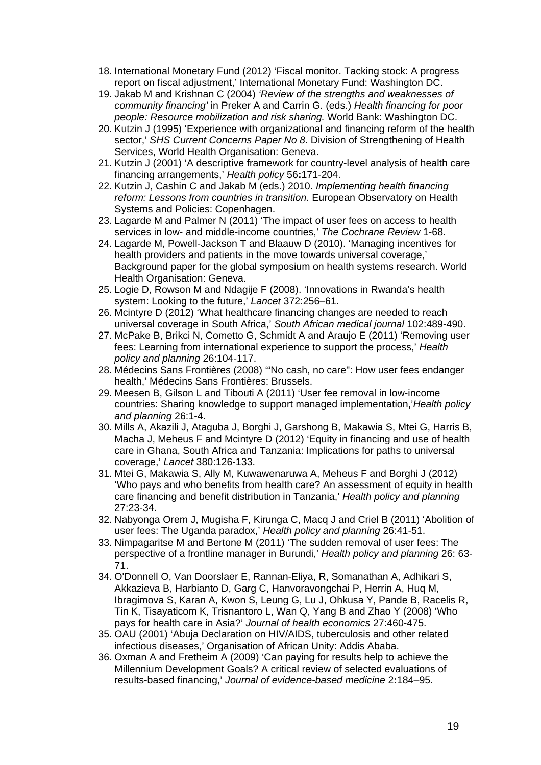- 18. International Monetary Fund (2012) 'Fiscal monitor. Tacking stock: A progress report on fiscal adjustment,' International Monetary Fund: Washington DC.
- 19. Jakab M and Krishnan C (2004) *'Review of the strengths and weaknesses of community financing'* in Preker A and Carrin G. (eds.) *Health financing for poor people: Resource mobilization and risk sharing.* World Bank: Washington DC.
- 20. Kutzin J (1995) 'Experience with organizational and financing reform of the health sector,' *SHS Current Concerns Paper No 8*. Division of Strengthening of Health Services, World Health Organisation: Geneva.
- 21. Kutzin J (2001) 'A descriptive framework for country-level analysis of health care financing arrangements,' *Health policy* 56**:**171-204.
- 22. Kutzin J, Cashin C and Jakab M (eds.) 2010. *Implementing health financing reform: Lessons from countries in transition*. European Observatory on Health Systems and Policies: Copenhagen.
- 23. Lagarde M and Palmer N (2011) 'The impact of user fees on access to health services in low- and middle-income countries,' *The Cochrane Review* 1-68.
- 24. Lagarde M, Powell-Jackson T and Blaauw D (2010). 'Managing incentives for health providers and patients in the move towards universal coverage,' Background paper for the global symposium on health systems research. World Health Organisation: Geneva.
- 25. Logie D, Rowson M and Ndagije F (2008). 'Innovations in Rwanda's health system: Looking to the future,' *Lancet* 372:256–61.
- 26. Mcintyre D (2012) 'What healthcare financing changes are needed to reach universal coverage in South Africa,' *South African medical journal* 102:489-490.
- 27. McPake B, Brikci N, Cometto G, Schmidt A and Araujo E (2011) 'Removing user fees: Learning from international experience to support the process,' *Health policy and planning* 26:104-117.
- 28. Médecins Sans Frontières (2008) '"No cash, no care": How user fees endanger health,' Médecins Sans Frontières: Brussels.
- 29. Meesen B, Gilson L and Tibouti A (2011) 'User fee removal in low-income countries: Sharing knowledge to support managed implementation,'*Health policy and planning* 26:1-4.
- 30. Mills A, Akazili J, Ataguba J, Borghi J, Garshong B, Makawia S, Mtei G, Harris B, Macha J, Meheus F and Mcintyre D (2012) 'Equity in financing and use of health care in Ghana, South Africa and Tanzania: Implications for paths to universal coverage,' *Lancet* 380:126-133.
- 31. Mtei G, Makawia S, Ally M, Kuwawenaruwa A, Meheus F and Borghi J (2012) 'Who pays and who benefits from health care? An assessment of equity in health care financing and benefit distribution in Tanzania,' *Health policy and planning* 27:23-34.
- 32. Nabyonga Orem J, Mugisha F, Kirunga C, Macq J and Criel B (2011) 'Abolition of user fees: The Uganda paradox,' *Health policy and planning* 26:41-51.
- 33. Nimpagaritse M and Bertone M (2011) 'The sudden removal of user fees: The perspective of a frontline manager in Burundi,' *Health policy and planning* 26: 63- 71.
- 34. O'Donnell O, Van Doorslaer E, Rannan-Eliya, R, Somanathan A, Adhikari S, Akkazieva B, Harbianto D, Garg C, Hanvoravongchai P, Herrin A, Huq M, Ibragimova S, Karan A, Kwon S, Leung G, Lu J, Ohkusa Y, Pande B, Racelis R, Tin K, Tisayaticom K, Trisnantoro L, Wan Q, Yang B and Zhao Y (2008) 'Who pays for health care in Asia?' *Journal of health economics* 27:460-475.
- 35. OAU (2001) 'Abuja Declaration on HIV/AIDS, tuberculosis and other related infectious diseases,' Organisation of African Unity: Addis Ababa.
- 36. Oxman A and Fretheim A (2009) 'Can paying for results help to achieve the Millennium Development Goals? A critical review of selected evaluations of results-based financing,' *Journal of evidence-based medicine* 2**:**184–95.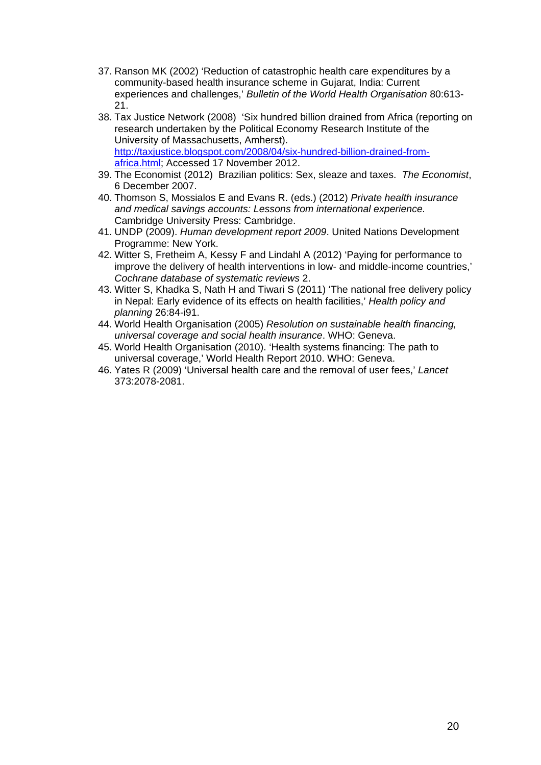- 37. Ranson MK (2002) 'Reduction of catastrophic health care expenditures by a community-based health insurance scheme in Gujarat, India: Current experiences and challenges,' *Bulletin of the World Health Organisation* 80:613- 21.
- 38. Tax Justice Network (2008) 'Six hundred billion drained from Africa (reporting on research undertaken by the Political Economy Research Institute of the University of Massachusetts, Amherst). http://taxjustice.blogspot.com/2008/04/six-hundred-billion-drained-fromafrica.html; Accessed 17 November 2012.
- 39. The Economist (2012) Brazilian politics: Sex, sleaze and taxes. *The Economist*, 6 December 2007.
- 40. Thomson S, Mossialos E and Evans R. (eds.) (2012) *Private health insurance and medical savings accounts: Lessons from international experience.* Cambridge University Press: Cambridge.
- 41. UNDP (2009). *Human development report 2009*. United Nations Development Programme: New York.
- 42. Witter S, Fretheim A, Kessy F and Lindahl A (2012) 'Paying for performance to improve the delivery of health interventions in low- and middle-income countries,' *Cochrane database of systematic reviews* 2.
- 43. Witter S, Khadka S, Nath H and Tiwari S (2011) 'The national free delivery policy in Nepal: Early evidence of its effects on health facilities,' *Health policy and planning* 26:84-i91.
- 44. World Health Organisation (2005) *Resolution on sustainable health financing, universal coverage and social health insurance*. WHO: Geneva.
- 45. World Health Organisation (2010). 'Health systems financing: The path to universal coverage,' World Health Report 2010. WHO: Geneva.
- 46. Yates R (2009) 'Universal health care and the removal of user fees,' *Lancet* 373:2078-2081.